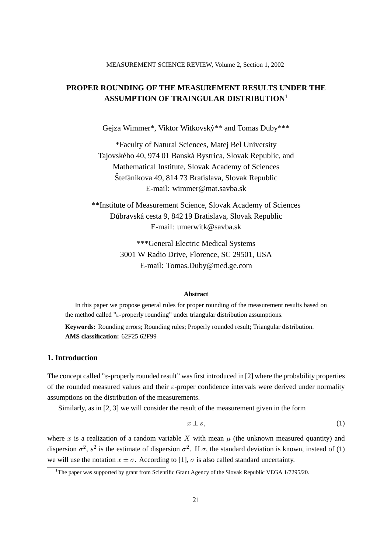## **PROPER ROUNDING OF THE MEASUREMENT RESULTS UNDER THE ASSUMPTION OF TRAINGULAR DISTRIBUTION**<sup>1</sup>

Gejza Wimmer\*, Viktor Witkovský\*\* and Tomas Duby\*\*\*

\*Faculty of Natural Sciences, Matej Bel University Tajovského 40, 974 01 Banská Bystrica, Slovak Republic, and Mathematical Institute, Slovak Academy of Sciences Štefánikova 49, 814 73 Bratislava, Slovak Republic E-mail: wimmer@mat.savba.sk

\*\*Institute of Measurement Science, Slovak Academy of Sciences Dúbravská cesta 9, 842 19 Bratislava, Slovak Republic E-mail: umerwitk@savba.sk

> \*\*\*General Electric Medical Systems 3001 W Radio Drive, Florence, SC 29501, USA E-mail: Tomas.Duby@med.ge.com

#### **Abstract**

In this paper we propose general rules for proper rounding of the measurement results based on the method called "ε-properly rounding" under triangular distribution assumptions.

**Keywords:** Rounding errors; Rounding rules; Properly rounded result; Triangular distribution. **AMS classification:** 62F25 62F99

### **1. Introduction**

The concept called "ε-properly rounded result" was first introduced in [2] where the probability properties of the rounded measured values and their  $\varepsilon$ -proper confidence intervals were derived under normality assumptions on the distribution of the measurements.

Similarly, as in [2, 3] we will consider the result of the measurement given in the form

$$
x \pm s,\tag{1}
$$

where x is a realization of a random variable X with mean  $\mu$  (the unknown measured quantity) and dispersion  $\sigma^2$ ,  $s^2$  is the estimate of dispersion  $\sigma^2$ . If  $\sigma$ , the standard deviation is known, instead of (1) we will use the notation  $x \pm \sigma$ . According to [1],  $\sigma$  is also called standard uncertainty.

<sup>&</sup>lt;sup>1</sup>The paper was supported by grant from Scientific Grant Agency of the Slovak Republic VEGA 1/7295/20.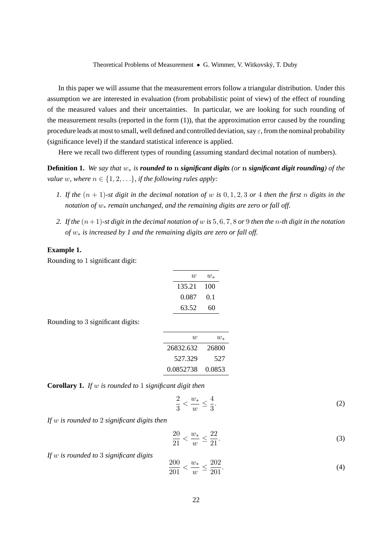In this paper we will assume that the measurement errors follow a triangular distribution. Under this assumption we are interested in evaluation (from probabilistic point of view) of the effect of rounding of the measured values and their uncertainties. In particular, we are looking for such rounding of the measurement results (reported in the form  $(1)$ ), that the approximation error caused by the rounding procedure leads at most to small, well defined and controlled deviation, say  $\varepsilon$ , from the nominal probability (significance level) if the standard statistical inference is applied.

Here we recall two different types of rounding (assuming standard decimal notation of numbers).

**Definition 1.** *We say that* w<sup>∗</sup> *is rounded to* n *significant digits (or* n *significant digit rounding) of the value* w, where  $n \in \{1, 2, \ldots\}$ *, if the following rules apply:* 

- *1. If the* (n + 1)*-st digit in the decimal notation of* w *is* 0, 1, 2, 3 *or* 4 *then the first* n *digits in the notation of* w<sup>∗</sup> *remain unchanged, and the remaining digits are zero or fall off.*
- 2. If the  $(n+1)$ -st digit in the decimal notation of w is 5, 6, 7, 8 or 9 then the n-th digit in the notation *of* w<sup>∗</sup> *is increased by 1 and the remaining digits are zero or fall off.*

#### **Example 1.**

Rounding to 1 significant digit:

| w      | $w_*$ |
|--------|-------|
| 135.21 | 100   |
| 0.087  | 0.1   |
| 63.52  | 60    |

Rounding to 3 significant digits:

| $\eta$    | $w_*$  |
|-----------|--------|
| 26832.632 | 26800  |
| 527.329   | 527    |
| 0.0852738 | 0.0853 |

**Corollary 1.** *If* w *is rounded to* 1 *significant digit then*

$$
\frac{2}{3} < \frac{w_*}{w} \le \frac{4}{3}.\tag{2}
$$

*If* w *is rounded to* 2 *significant digits then*

$$
\frac{20}{21} < \frac{w_*}{w} \le \frac{22}{21}.\tag{3}
$$

*If* w *is rounded to* 3 *significant digits*

$$
\frac{200}{201} < \frac{w_*}{w} \le \frac{202}{201}.\tag{4}
$$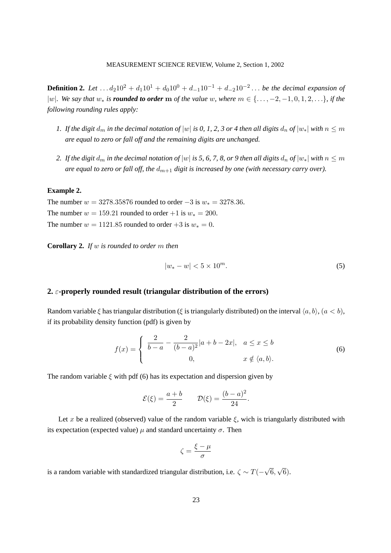#### MEASUREMENT SCIENCE REVIEW, Volume 2, Section 1, 2002

**Definition 2.** Let  $\dots d_2 10^2 + d_1 10^1 + d_0 10^0 + d_{-1} 10^{-1} + d_{-2} 10^{-2} \dots$  be the decimal expansion of |w|*.* We say that  $w_*$  is **rounded to order** m of the value w, where  $m \in \{ \ldots, -2, -1, 0, 1, 2, \ldots \}$ , if the *following rounding rules apply:*

- *1. If the digit*  $d_m$  *in the decimal notation of* |w| *is 0, 1, 2, 3 or 4 then all digits*  $d_n$  *of*  $|w_*|$  *with*  $n \leq m$ *are equal to zero or fall off and the remaining digits are unchanged.*
- *2. If the digit*  $d_m$  *in the decimal notation of*  $|w|$  *is 5, 6, 7, 8, or 9 then all digits*  $d_n$  *of*  $|w_*|$  *with*  $n \leq m$ *are equal to zero or fall off, the*  $d_{m+1}$  *digit is increased by one (with necessary carry over).*

#### **Example 2.**

The number  $w = 3278.35876$  rounded to order  $-3$  is  $w_* = 3278.36$ . The number  $w = 159.21$  rounded to order +1 is  $w_* = 200$ . The number  $w = 1121.85$  rounded to order +3 is  $w_* = 0$ .

**Corollary 2.** *If* w *is rounded to order* m *then*

$$
|w_* - w| < 5 \times 10^m. \tag{5}
$$

#### **2.** ε**-properly rounded result (triangular distribution of the errors)**

Random variable  $\xi$  has triangular distribution ( $\xi$  is triangularly distributed) on the interval  $\langle a, b \rangle$ ,  $(a < b)$ , if its probability density function (pdf) is given by

$$
f(x) = \begin{cases} \frac{2}{b-a} - \frac{2}{(b-a)^2} |a+b-2x|, & a \le x \le b \\ 0, & x \notin \langle a,b \rangle. \end{cases}
$$
 (6)

The random variable  $\xi$  with pdf (6) has its expectation and dispersion given by

$$
\mathcal{E}(\xi) = \frac{a+b}{2} \qquad \mathcal{D}(\xi) = \frac{(b-a)^2}{24}.
$$

Let x be a realized (observed) value of the random variable  $\xi$ , wich is triangularly distributed with its expectation (expected value)  $\mu$  and standard uncertainty  $\sigma$ . Then

$$
\zeta = \frac{\xi - \mu}{\sigma}
$$

is a random variable with standardized triangular distribution, i.e.  $\zeta \sim T(-1)$ √ 6, √ 6).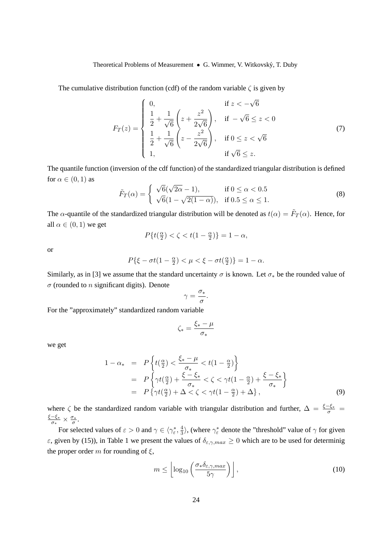Theoretical Problems of Measurement • G. Wimmer, V. Witkovský, T. Duby

The cumulative distribution function (cdf) of the random variable  $\zeta$  is given by

$$
F_T(z) = \begin{cases} 0, & \text{if } z < -\sqrt{6} \\ \frac{1}{2} + \frac{1}{\sqrt{6}} \left( z + \frac{z^2}{2\sqrt{6}} \right), & \text{if } -\sqrt{6} \le z < 0 \\ \frac{1}{2} + \frac{1}{\sqrt{6}} \left( z - \frac{z^2}{2\sqrt{6}} \right), & \text{if } 0 \le z < \sqrt{6} \\ 1, & \text{if } \sqrt{6} \le z. \end{cases}
$$
(7)

The quantile function (inversion of the cdf function) of the standardized triangular distribution is defined for  $\alpha \in (0,1)$  as

$$
\tilde{F}_T(\alpha) = \begin{cases}\n\sqrt{6}(\sqrt{2\alpha} - 1), & \text{if } 0 \le \alpha < 0.5 \\
\sqrt{6}(1 - \sqrt{2(1 - \alpha)}), & \text{if } 0.5 \le \alpha \le 1.\n\end{cases}
$$
\n(8)

The  $\alpha$ -quantile of the standardized triangular distribution will be denoted as  $t(\alpha) = \tilde{F}_T(\alpha)$ . Hence, for all  $\alpha \in (0,1)$  we get

$$
P\{t(\tfrac{\alpha}{2})<\zeta
$$

or

$$
P\{\xi - \sigma t(1 - \frac{\alpha}{2}) < \mu < \xi - \sigma t(\frac{\alpha}{2})\} = 1 - \alpha.
$$

Similarly, as in [3] we assume that the standard uncertainty  $\sigma$  is known. Let  $\sigma_*$  be the rounded value of  $\sigma$  (rounded to *n* significant digits). Denote

$$
\gamma = \frac{\sigma_*}{\sigma}.
$$

For the "approximately" standardized random variable

$$
\zeta_* = \frac{\xi_* - \mu}{\sigma_*}
$$

we get

$$
1 - \alpha_* = P\left\{t(\frac{\alpha}{2}) < \frac{\xi_* - \mu}{\sigma_*} < t(1 - \frac{\alpha}{2})\right\}
$$
\n
$$
= P\left\{\gamma t(\frac{\alpha}{2}) + \frac{\xi - \xi_*}{\sigma_*} < \zeta < \gamma t(1 - \frac{\alpha}{2}) + \frac{\xi - \xi_*}{\sigma_*}\right\}
$$
\n
$$
= P\left\{\gamma t(\frac{\alpha}{2}) + \Delta < \zeta < \gamma t(1 - \frac{\alpha}{2}) + \Delta\right\},\tag{9}
$$

where  $\zeta$  be the standardized random variable with triangular distribution and further,  $\Delta = \frac{\xi - \xi_*}{\sigma}$ ξ−ξ<sup>∗</sup>  $\frac{-\xi_*}{\sigma_*} \times \frac{\sigma_*}{\sigma}.$ 

For selected values of  $\varepsilon > 0$  and  $\gamma \in \langle \gamma_{\varepsilon}^*, \frac{4}{3} \rangle$  $\frac{4}{3}$ ), (where  $\gamma_{\varepsilon}^{*}$  denote the "threshold" value of  $\gamma$  for given ε, given by (15)), in Table 1 we present the values of  $\delta_{\epsilon,\gamma,max} \geq 0$  which are to be used for determinig the proper order m for rounding of  $\xi$ ,

$$
m \leq \left\lfloor \log_{10} \left( \frac{\sigma_* \delta_{\varepsilon,\gamma,max}}{5\gamma} \right) \right\rfloor, \tag{10}
$$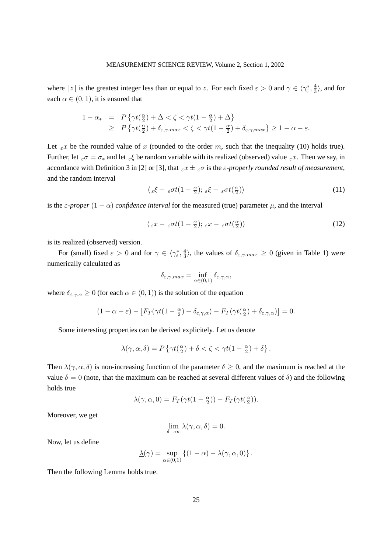where  $[z]$  is the greatest integer less than or equal to z. For each fixed  $\varepsilon > 0$  and  $\gamma \in \langle \gamma_{\varepsilon}^*, \frac{4}{3} \rangle$  $\frac{4}{3}$ , and for each  $\alpha \in (0, 1)$ , it is ensured that

$$
1 - \alpha_{*} = P\left\{\gamma t(\frac{\alpha}{2}) + \Delta < \zeta < \gamma t(1 - \frac{\alpha}{2}) + \Delta\right\}
$$
\n
$$
\geq P\left\{\gamma t(\frac{\alpha}{2}) + \delta_{\varepsilon,\gamma,\max} < \zeta < \gamma t(1 - \frac{\alpha}{2}) + \delta_{\varepsilon,\gamma,\max}\right\} \geq 1 - \alpha - \varepsilon.
$$

Let  $\varepsilon x$  be the rounded value of x (rounded to the order m, such that the inequality (10) holds true). Further, let  $\varepsilon \sigma = \sigma_*$  and let  $\varepsilon \xi$  be random variable with its realized (observed) value  $\varepsilon x$ . Then we say, in accordance with Definition 3 in [2] or [3], that  $\varepsilon x \pm \varepsilon \sigma$  is the  $\varepsilon$ -properly rounded result of measurement, and the random interval

$$
\langle \varepsilon \xi - \varepsilon \sigma t (1 - \frac{\alpha}{2}); \varepsilon \xi - \varepsilon \sigma t (\frac{\alpha}{2}) \rangle \tag{11}
$$

is the  $\varepsilon$ -proper  $(1 - \alpha)$  *confidence interval* for the measured (true) parameter  $\mu$ , and the interval

$$
\langle \varepsilon x - \varepsilon \sigma t (1 - \frac{\alpha}{2}); \varepsilon x - \varepsilon \sigma t (\frac{\alpha}{2}) \rangle \tag{12}
$$

is its realized (observed) version.

For (small) fixed  $\varepsilon > 0$  and for  $\gamma \in \langle \gamma_{\varepsilon}^*, \frac{4}{3} \rangle$  $\frac{4}{3}$ , the values of  $\delta_{\varepsilon,\gamma,max} \ge 0$  (given in Table 1) were numerically calculated as

$$
\delta_{\varepsilon,\gamma,max}=\inf_{\alpha\in(0,1)}\delta_{\varepsilon,\gamma,\alpha},
$$

where  $\delta_{\epsilon,\gamma,\alpha} \geq 0$  (for each  $\alpha \in (0,1)$ ) is the solution of the equation

$$
(1 - \alpha - \varepsilon) - [F_T(\gamma t(1 - \frac{\alpha}{2}) + \delta_{\varepsilon, \gamma, \alpha}) - F_T(\gamma t(\frac{\alpha}{2}) + \delta_{\varepsilon, \gamma, \alpha})] = 0.
$$

Some interesting properties can be derived explicitely. Let us denote

$$
\lambda(\gamma,\alpha,\delta) = P\left\{\gamma t(\tfrac{\alpha}{2}) + \delta < \zeta < \gamma t(1-\tfrac{\alpha}{2}) + \delta\right\}.
$$

Then  $\lambda(\gamma, \alpha, \delta)$  is non-increasing function of the parameter  $\delta \geq 0$ , and the maximum is reached at the value  $\delta = 0$  (note, that the maximum can be reached at several different values of  $\delta$ ) and the following holds true

$$
\lambda(\gamma, \alpha, 0) = F_T(\gamma t(1 - \frac{\alpha}{2})) - F_T(\gamma t(\frac{\alpha}{2})).
$$

Moreover, we get

$$
\lim_{\delta \to \infty} \lambda(\gamma, \alpha, \delta) = 0.
$$

Now, let us define

$$
\underline{\lambda}(\gamma) = \sup_{\alpha \in (0,1)} \left\{ (1 - \alpha) - \lambda(\gamma, \alpha, 0) \right\}.
$$

Then the following Lemma holds true.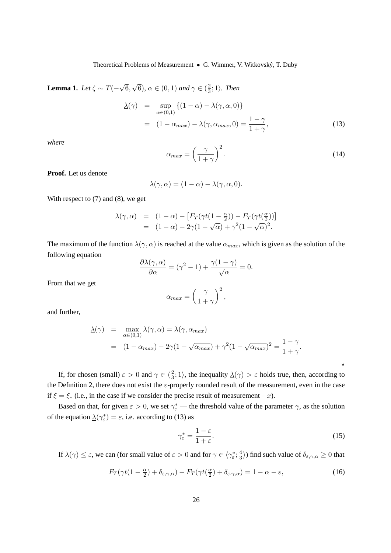**Lemma 1.** *Let*  $\zeta \sim T(-$ √ 6, √  $\overline{6}$ )*,*  $\alpha \in (0,1)$  and  $\gamma \in (\frac{2}{3})$  $\frac{2}{3}$ ; 1). Then

$$
\begin{aligned}\n\Delta(\gamma) &= \sup_{\alpha \in (0,1)} \left\{ (1 - \alpha) - \lambda(\gamma, \alpha, 0) \right\} \\
&= (1 - \alpha_{max}) - \lambda(\gamma, \alpha_{max}, 0) = \frac{1 - \gamma}{1 + \gamma},\n\end{aligned} \tag{13}
$$

*where*

$$
\alpha_{max} = \left(\frac{\gamma}{1+\gamma}\right)^2.
$$
\n(14)

**Proof.** Let us denote

$$
\lambda(\gamma,\alpha) = (1-\alpha) - \lambda(\gamma,\alpha,0).
$$

With respect to  $(7)$  and  $(8)$ , we get

$$
\lambda(\gamma,\alpha) = (1-\alpha) - [F_T(\gamma t(1-\frac{\alpha}{2})) - F_T(\gamma t(\frac{\alpha}{2}))]
$$
  
= 
$$
(1-\alpha) - 2\gamma(1-\sqrt{\alpha}) + \gamma^2(1-\sqrt{\alpha})^2.
$$

The maximum of the function  $\lambda(\gamma,\alpha)$  is reached at the value  $\alpha_{max}$ , which is given as the solution of the following equation

$$
\frac{\partial \lambda(\gamma,\alpha)}{\partial \alpha} = (\gamma^2 - 1) + \frac{\gamma(1-\gamma)}{\sqrt{\alpha}} = 0.
$$

From that we get

$$
\alpha_{max} = \left(\frac{\gamma}{1+\gamma}\right)^2,
$$

and further,

$$
\Delta(\gamma) = \max_{\alpha \in (0,1)} \lambda(\gamma, \alpha) = \lambda(\gamma, \alpha_{max})
$$
  
=  $(1 - \alpha_{max}) - 2\gamma(1 - \sqrt{\alpha_{max}}) + \gamma^2(1 - \sqrt{\alpha_{max}})^2 = \frac{1 - \gamma}{1 + \gamma}.$ 

If, for chosen (small)  $\varepsilon > 0$  and  $\gamma \in (\frac{2}{3})$  $\frac{2}{3}$ ; 1), the inequality  $\Delta(\gamma) > \varepsilon$  holds true, then, according to the Definition 2, there does not exist the  $\varepsilon$ -properly rounded result of the measurement, even in the case if  $\xi = \xi_*$  (i.e., in the case if we consider the precise result of measurement – x).

Based on that, for given  $\varepsilon > 0$ , we set  $\gamma^*_{\varepsilon}$  — the threshold value of the parameter  $\gamma$ , as the solution of the equation  $\underline{\lambda}(\gamma_{\varepsilon}^*) = \varepsilon$ , i.e. according to (13) as

$$
\gamma_{\varepsilon}^{*} = \frac{1 - \varepsilon}{1 + \varepsilon}.\tag{15}
$$

 $\star$ 

If  $\underline{\lambda}(\gamma) \leq \varepsilon$ , we can (for small value of  $\varepsilon > 0$  and for  $\gamma \in \langle \gamma_{\varepsilon}^*; \frac{4}{3} \rangle$  $\frac{4}{3}$ ) find such value of  $\delta_{\varepsilon,\gamma,\alpha} \geq 0$  that

$$
F_T(\gamma t(1-\frac{\alpha}{2}) + \delta_{\varepsilon,\gamma,\alpha}) - F_T(\gamma t(\frac{\alpha}{2}) + \delta_{\varepsilon,\gamma,\alpha}) = 1 - \alpha - \varepsilon,\tag{16}
$$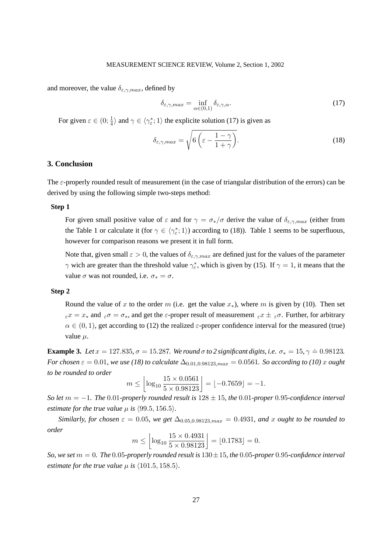and moreover, the value  $\delta_{\epsilon,\gamma,max}$ , defined by

$$
\delta_{\varepsilon,\gamma,max} = \inf_{\alpha \in (0,1)} \delta_{\varepsilon,\gamma,\alpha}.\tag{17}
$$

For given  $\varepsilon \in (0; \frac{1}{4})$  and  $\gamma \in \langle \gamma_{\varepsilon}^*; 1 \rangle$  the explicite solution (17) is given as

$$
\delta_{\varepsilon,\gamma,max} = \sqrt{6\left(\varepsilon - \frac{1-\gamma}{1+\gamma}\right)}.
$$
\n(18)

#### **3. Conclusion**

The  $\varepsilon$ -properly rounded result of measurement (in the case of triangular distribution of the errors) can be derived by using the following simple two-steps method:

#### **Step 1**

For given small positive value of  $\varepsilon$  and for  $\gamma = \sigma_*/\sigma$  derive the value of  $\delta_{\varepsilon,\gamma,max}$  (either from the Table 1 or calculate it (for  $\gamma \in \langle \gamma_{\varepsilon}^*; 1 \rangle$ ) according to (18)). Table 1 seems to be superfluous, however for comparison reasons we present it in full form.

Note that, given small  $\varepsilon > 0$ , the values of  $\delta_{\varepsilon,\gamma,max}$  are defined just for the values of the parameter  $\gamma$  wich are greater than the threshold value  $\gamma_{\varepsilon}^*$ , which is given by (15). If  $\gamma = 1$ , it means that the value  $\sigma$  was not rounded, i.e.  $\sigma_* = \sigma$ .

#### **Step 2**

Round the value of x to the order m (i.e. get the value  $x<sub>*</sub>$ ), where m is given by (10). Then set  $\epsilon x = x_*$  and  $\epsilon \sigma = \sigma_*$ , and get the  $\epsilon$ -proper result of measurement  $\epsilon x \pm \epsilon \sigma$ . Further, for arbitrary  $\alpha \in (0, 1)$ , get according to (12) the realized  $\varepsilon$ -proper confidence interval for the measured (true) value  $\mu$ .

**Example 3.** *Let*  $x = 127.835$ ,  $\sigma = 15.287$ *. We round*  $\sigma$  *to* 2 significant digits, i.e.  $\sigma_* = 15$ ,  $\gamma = 0.98123$ . *For chosen*  $\varepsilon = 0.01$ *, we use* (18) to calculate  $\Delta_{0.01,0.98123,max} = 0.0561$ *. So according to* (10) x ought *to be rounded to order*

$$
m \le \left\lfloor \log_{10} \frac{15 \times 0.0561}{5 \times 0.98123} \right\rfloor = \left\lfloor -0.7659 \right\rfloor = -1.
$$

*So let* m = −1*. The* 0.01*-properly rounded result is* 128 ± 15*, the* 0.01*-proper* 0.95*-confidence interval estimate for the true value*  $\mu$  *is*  $\langle 99.5, 156.5 \rangle$ *.* 

*Similarly, for chosen*  $\varepsilon = 0.05$ *, we get*  $\Delta_{0.05,0.98123,max} = 0.4931$ *, and x ought to be rounded to order*

$$
m \le \left\lfloor \log_{10} \frac{15 \times 0.4931}{5 \times 0.98123} \right\rfloor = \left\lfloor 0.1783 \right\rfloor = 0.
$$

*So, we set*  $m = 0$ *. The* 0.05*-properly rounded result is*  $130 \pm 15$ *, the* 0.05*-proper* 0.95*-confidence interval estimate for the true value*  $\mu$  *is*  $\langle 101.5, 158.5 \rangle$ *.*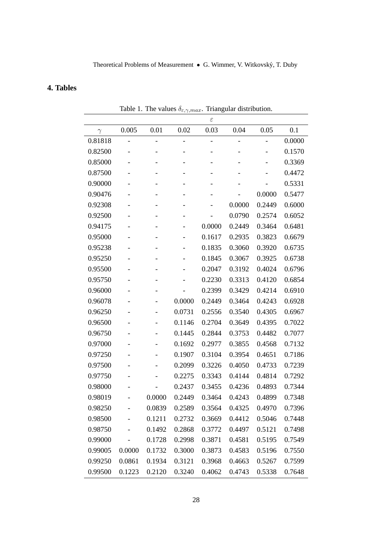# **4. Tables**

|          | Table 1. The values $\theta_{\varepsilon,\gamma,max}$ .<br>THangular uistrivuuon. |                          |        |               |        |        |        |
|----------|-----------------------------------------------------------------------------------|--------------------------|--------|---------------|--------|--------|--------|
|          |                                                                                   |                          |        | $\varepsilon$ |        |        |        |
| $\gamma$ | 0.005                                                                             | 0.01                     | 0.02   | 0.03          | 0.04   | 0.05   | 0.1    |
| 0.81818  |                                                                                   |                          |        |               |        |        | 0.0000 |
| 0.82500  |                                                                                   |                          |        |               |        |        | 0.1570 |
| 0.85000  |                                                                                   |                          |        |               |        |        | 0.3369 |
| 0.87500  |                                                                                   |                          |        |               |        |        | 0.4472 |
| 0.90000  |                                                                                   |                          |        |               |        |        | 0.5331 |
| 0.90476  |                                                                                   |                          |        |               |        | 0.0000 | 0.5477 |
| 0.92308  |                                                                                   |                          |        |               | 0.0000 | 0.2449 | 0.6000 |
| 0.92500  |                                                                                   |                          |        |               | 0.0790 | 0.2574 | 0.6052 |
| 0.94175  |                                                                                   |                          |        | 0.0000        | 0.2449 | 0.3464 | 0.6481 |
| 0.95000  |                                                                                   | -                        |        | 0.1617        | 0.2935 | 0.3823 | 0.6679 |
| 0.95238  |                                                                                   |                          |        | 0.1835        | 0.3060 | 0.3920 | 0.6735 |
| 0.95250  |                                                                                   |                          |        | 0.1845        | 0.3067 | 0.3925 | 0.6738 |
| 0.95500  |                                                                                   | $\overline{\phantom{0}}$ |        | 0.2047        | 0.3192 | 0.4024 | 0.6796 |
| 0.95750  |                                                                                   |                          |        | 0.2230        | 0.3313 | 0.4120 | 0.6854 |
| 0.96000  |                                                                                   |                          |        | 0.2399        | 0.3429 | 0.4214 | 0.6910 |
| 0.96078  |                                                                                   |                          | 0.0000 | 0.2449        | 0.3464 | 0.4243 | 0.6928 |
| 0.96250  |                                                                                   |                          | 0.0731 | 0.2556        | 0.3540 | 0.4305 | 0.6967 |
| 0.96500  |                                                                                   |                          | 0.1146 | 0.2704        | 0.3649 | 0.4395 | 0.7022 |
| 0.96750  |                                                                                   |                          | 0.1445 | 0.2844        | 0.3753 | 0.4482 | 0.7077 |
| 0.97000  |                                                                                   |                          | 0.1692 | 0.2977        | 0.3855 | 0.4568 | 0.7132 |
| 0.97250  |                                                                                   |                          | 0.1907 | 0.3104        | 0.3954 | 0.4651 | 0.7186 |
| 0.97500  |                                                                                   |                          | 0.2099 | 0.3226        | 0.4050 | 0.4733 | 0.7239 |
| 0.97750  |                                                                                   |                          | 0.2275 | 0.3343        | 0.4144 | 0.4814 | 0.7292 |
| 0.98000  |                                                                                   |                          | 0.2437 | 0.3455        | 0.4236 | 0.4893 | 0.7344 |
| 0.98019  |                                                                                   | 0.0000                   | 0.2449 | 0.3464        | 0.4243 | 0.4899 | 0.7348 |
| 0.98250  |                                                                                   | 0.0839                   | 0.2589 | 0.3564        | 0.4325 | 0.4970 | 0.7396 |
| 0.98500  |                                                                                   | 0.1211                   | 0.2732 | 0.3669        | 0.4412 | 0.5046 | 0.7448 |
| 0.98750  |                                                                                   | 0.1492                   | 0.2868 | 0.3772        | 0.4497 | 0.5121 | 0.7498 |
| 0.99000  |                                                                                   | 0.1728                   | 0.2998 | 0.3871        | 0.4581 | 0.5195 | 0.7549 |
| 0.99005  | 0.0000                                                                            | 0.1732                   | 0.3000 | 0.3873        | 0.4583 | 0.5196 | 0.7550 |
| 0.99250  | 0.0861                                                                            | 0.1934                   | 0.3121 | 0.3968        | 0.4663 | 0.5267 | 0.7599 |
| 0.99500  | 0.1223                                                                            | 0.2120                   | 0.3240 | 0.4062        | 0.4743 | 0.5338 | 0.7648 |

Table 1. The values  $\delta_{\varepsilon,\gamma,max}$ . Triangular distribution.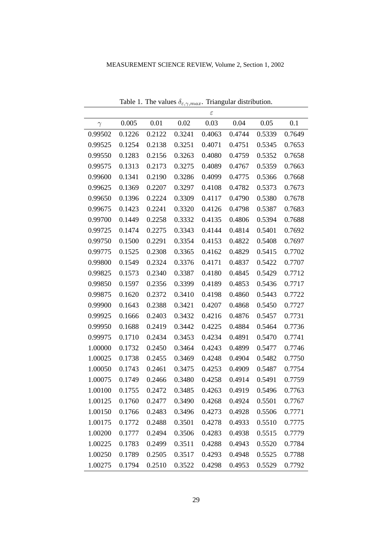|          |        |        |        | $\varepsilon$ |        |        |        |
|----------|--------|--------|--------|---------------|--------|--------|--------|
| $\gamma$ | 0.005  | 0.01   | 0.02   | 0.03          | 0.04   | 0.05   | 0.1    |
| 0.99502  | 0.1226 | 0.2122 | 0.3241 | 0.4063        | 0.4744 | 0.5339 | 0.7649 |
| 0.99525  | 0.1254 | 0.2138 | 0.3251 | 0.4071        | 0.4751 | 0.5345 | 0.7653 |
| 0.99550  | 0.1283 | 0.2156 | 0.3263 | 0.4080        | 0.4759 | 0.5352 | 0.7658 |
| 0.99575  | 0.1313 | 0.2173 | 0.3275 | 0.4089        | 0.4767 | 0.5359 | 0.7663 |
| 0.99600  | 0.1341 | 0.2190 | 0.3286 | 0.4099        | 0.4775 | 0.5366 | 0.7668 |
| 0.99625  | 0.1369 | 0.2207 | 0.3297 | 0.4108        | 0.4782 | 0.5373 | 0.7673 |
| 0.99650  | 0.1396 | 0.2224 | 0.3309 | 0.4117        | 0.4790 | 0.5380 | 0.7678 |
| 0.99675  | 0.1423 | 0.2241 | 0.3320 | 0.4126        | 0.4798 | 0.5387 | 0.7683 |
| 0.99700  | 0.1449 | 0.2258 | 0.3332 | 0.4135        | 0.4806 | 0.5394 | 0.7688 |
| 0.99725  | 0.1474 | 0.2275 | 0.3343 | 0.4144        | 0.4814 | 0.5401 | 0.7692 |
| 0.99750  | 0.1500 | 0.2291 | 0.3354 | 0.4153        | 0.4822 | 0.5408 | 0.7697 |
| 0.99775  | 0.1525 | 0.2308 | 0.3365 | 0.4162        | 0.4829 | 0.5415 | 0.7702 |
| 0.99800  | 0.1549 | 0.2324 | 0.3376 | 0.4171        | 0.4837 | 0.5422 | 0.7707 |
| 0.99825  | 0.1573 | 0.2340 | 0.3387 | 0.4180        | 0.4845 | 0.5429 | 0.7712 |
| 0.99850  | 0.1597 | 0.2356 | 0.3399 | 0.4189        | 0.4853 | 0.5436 | 0.7717 |
| 0.99875  | 0.1620 | 0.2372 | 0.3410 | 0.4198        | 0.4860 | 0.5443 | 0.7722 |
| 0.99900  | 0.1643 | 0.2388 | 0.3421 | 0.4207        | 0.4868 | 0.5450 | 0.7727 |
| 0.99925  | 0.1666 | 0.2403 | 0.3432 | 0.4216        | 0.4876 | 0.5457 | 0.7731 |
| 0.99950  | 0.1688 | 0.2419 | 0.3442 | 0.4225        | 0.4884 | 0.5464 | 0.7736 |
| 0.99975  | 0.1710 | 0.2434 | 0.3453 | 0.4234        | 0.4891 | 0.5470 | 0.7741 |
| 1.00000  | 0.1732 | 0.2450 | 0.3464 | 0.4243        | 0.4899 | 0.5477 | 0.7746 |
| 1.00025  | 0.1738 | 0.2455 | 0.3469 | 0.4248        | 0.4904 | 0.5482 | 0.7750 |
| 1.00050  | 0.1743 | 0.2461 | 0.3475 | 0.4253        | 0.4909 | 0.5487 | 0.7754 |
| 1.00075  | 0.1749 | 0.2466 | 0.3480 | 0.4258        | 0.4914 | 0.5491 | 0.7759 |
| 1.00100  | 0.1755 | 0.2472 | 0.3485 | 0.4263        | 0.4919 | 0.5496 | 0.7763 |
| 1.00125  | 0.1760 | 0.2477 | 0.3490 | 0.4268        | 0.4924 | 0.5501 | 0.7767 |
| 1.00150  | 0.1766 | 0.2483 | 0.3496 | 0.4273        | 0.4928 | 0.5506 | 0.7771 |
| 1.00175  | 0.1772 | 0.2488 | 0.3501 | 0.4278        | 0.4933 | 0.5510 | 0.7775 |
| 1.00200  | 0.1777 | 0.2494 | 0.3506 | 0.4283        | 0.4938 | 0.5515 | 0.7779 |
| 1.00225  | 0.1783 | 0.2499 | 0.3511 | 0.4288        | 0.4943 | 0.5520 | 0.7784 |
| 1.00250  | 0.1789 | 0.2505 | 0.3517 | 0.4293        | 0.4948 | 0.5525 | 0.7788 |
| 1.00275  | 0.1794 | 0.2510 | 0.3522 | 0.4298        | 0.4953 | 0.5529 | 0.7792 |

Table 1. The values  $\delta_{\varepsilon,\gamma,max}$ . Triangular distribution.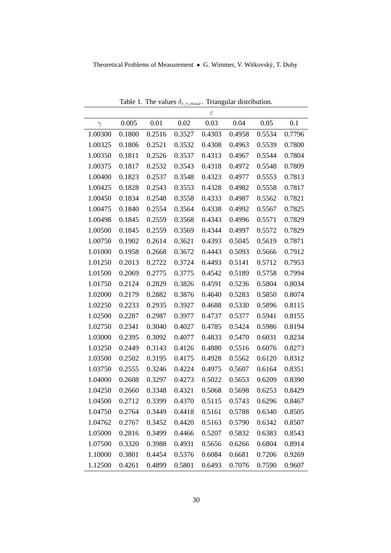Theoretical Problems of Measurement • G. Wimmer, V. Witkovský, T. Duby

|          |        |        |        | ε      |        |        |        |
|----------|--------|--------|--------|--------|--------|--------|--------|
| $\gamma$ | 0.005  | 0.01   | 0.02   | 0.03   | 0.04   | 0.05   | 0.1    |
| 1.00300  | 0.1800 | 0.2516 | 0.3527 | 0.4303 | 0.4958 | 0.5534 | 0.7796 |
| 1.00325  | 0.1806 | 0.2521 | 0.3532 | 0.4308 | 0.4963 | 0.5539 | 0.7800 |
| 1.00350  | 0.1811 | 0.2526 | 0.3537 | 0.4313 | 0.4967 | 0.5544 | 0.7804 |
| 1.00375  | 0.1817 | 0.2532 | 0.3543 | 0.4318 | 0.4972 | 0.5548 | 0.7809 |
| 1.00400  | 0.1823 | 0.2537 | 0.3548 | 0.4323 | 0.4977 | 0.5553 | 0.7813 |
| 1.00425  | 0.1828 | 0.2543 | 0.3553 | 0.4328 | 0.4982 | 0.5558 | 0.7817 |
| 1.00450  | 0.1834 | 0.2548 | 0.3558 | 0.4333 | 0.4987 | 0.5562 | 0.7821 |
| 1.00475  | 0.1840 | 0.2554 | 0.3564 | 0.4338 | 0.4992 | 0.5567 | 0.7825 |
| 1.00498  | 0.1845 | 0.2559 | 0.3568 | 0.4343 | 0.4996 | 0.5571 | 0.7829 |
| 1.00500  | 0.1845 | 0.2559 | 0.3569 | 0.4344 | 0.4997 | 0.5572 | 0.7829 |
| 1.00750  | 0.1902 | 0.2614 | 0.3621 | 0.4393 | 0.5045 | 0.5619 | 0.7871 |
| 1.01000  | 0.1958 | 0.2668 | 0.3672 | 0.4443 | 0.5093 | 0.5666 | 0.7912 |
| 1.01250  | 0.2013 | 0.2722 | 0.3724 | 0.4493 | 0.5141 | 0.5712 | 0.7953 |
| 1.01500  | 0.2069 | 0.2775 | 0.3775 | 0.4542 | 0.5189 | 0.5758 | 0.7994 |
| 1.01750  | 0.2124 | 0.2829 | 0.3826 | 0.4591 | 0.5236 | 0.5804 | 0.8034 |
| 1.02000  | 0.2179 | 0.2882 | 0.3876 | 0.4640 | 0.5283 | 0.5850 | 0.8074 |
| 1.02250  | 0.2233 | 0.2935 | 0.3927 | 0.4688 | 0.5330 | 0.5896 | 0.8115 |
| 1.02500  | 0.2287 | 0.2987 | 0.3977 | 0.4737 | 0.5377 | 0.5941 | 0.8155 |
| 1.02750  | 0.2341 | 0.3040 | 0.4027 | 0.4785 | 0.5424 | 0.5986 | 0.8194 |
| 1.03000  | 0.2395 | 0.3092 | 0.4077 | 0.4833 | 0.5470 | 0.6031 | 0.8234 |
| 1.03250  | 0.2449 | 0.3143 | 0.4126 | 0.4880 | 0.5516 | 0.6076 | 0.8273 |
| 1.03500  | 0.2502 | 0.3195 | 0.4175 | 0.4928 | 0.5562 | 0.6120 | 0.8312 |
| 1.03750  | 0.2555 | 0.3246 | 0.4224 | 0.4975 | 0.5607 | 0.6164 | 0.8351 |
| 1.04000  | 0.2608 | 0.3297 | 0.4273 | 0.5022 | 0.5653 | 0.6209 | 0.8390 |
| 1.04250  | 0.2660 | 0.3348 | 0.4321 | 0.5068 | 0.5698 | 0.6253 | 0.8429 |
| 1.04500  | 0.2712 | 0.3399 | 0.4370 | 0.5115 | 0.5743 | 0.6296 | 0.8467 |
| 1.04750  | 0.2764 | 0.3449 | 0.4418 | 0.5161 | 0.5788 | 0.6340 | 0.8505 |
| 1.04762  | 0.2767 | 0.3452 | 0.4420 | 0.5163 | 0.5790 | 0.6342 | 0.8507 |
| 1.05000  | 0.2816 | 0.3499 | 0.4466 | 0.5207 | 0.5832 | 0.6383 | 0.8543 |
| 1.07500  | 0.3320 | 0.3988 | 0.4931 | 0.5656 | 0.6266 | 0.6804 | 0.8914 |
| 1.10000  | 0.3801 | 0.4454 | 0.5376 | 0.6084 | 0.6681 | 0.7206 | 0.9269 |
| 1.12500  | 0.4261 | 0.4899 | 0.5801 | 0.6493 | 0.7076 | 0.7590 | 0.9607 |

Table 1. The values  $\delta_{\varepsilon,\gamma,max}$ . Triangular distribution.